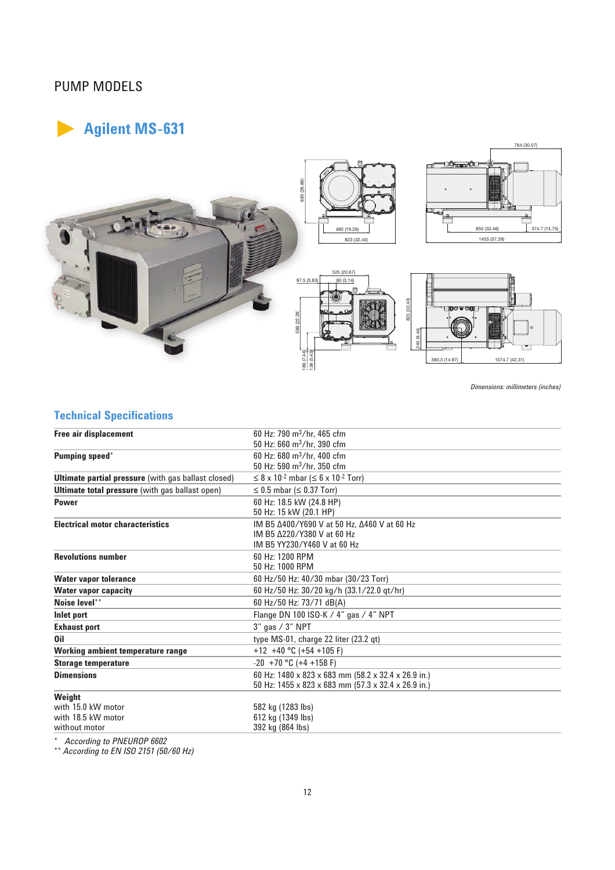## PUMP MODELS





## **Technical Specifications**

|                                                                          | 683 (26.88)<br>374.7 (14.75)<br>850 (33.46)<br>490 (19.29)<br>1455 (57.28)<br>823 (32.40)                                                                                                              |
|--------------------------------------------------------------------------|--------------------------------------------------------------------------------------------------------------------------------------------------------------------------------------------------------|
|                                                                          | 525 (20.67<br>97.5 (3.83)<br>80 (3.14)<br>323 (32.40)<br>566 (22.28)<br>$\widehat{G}$<br>240 (9.44)<br>189 (7.44)<br>138 (5.43)<br>380.3 (14.97)<br>1074.7 (42.31)<br>Dimensions: millimeters (inches) |
| <b>Technical Specifications</b>                                          |                                                                                                                                                                                                        |
| Free air displacement                                                    | 60 Hz: 790 m <sup>3</sup> /hr, 465 cfm<br>50 Hz: 660 m <sup>3</sup> /hr, 390 cfm                                                                                                                       |
| Pumping speed*                                                           | 60 Hz: 680 m <sup>3</sup> /hr, 400 cfm<br>50 Hz: 590 m <sup>3</sup> /hr, 350 cfm                                                                                                                       |
| <b>Ultimate partial pressure</b> (with gas ballast closed)               | $\leq$ 8 x 10 <sup>-2</sup> mbar ( $\leq$ 6 x 10 <sup>-2</sup> Torr)                                                                                                                                   |
| Ultimate total pressure (with gas ballast open)                          | $\leq$ 0.5 mbar ( $\leq$ 0.37 Torr)                                                                                                                                                                    |
| <b>Power</b>                                                             | 60 Hz: 18.5 kW (24.8 HP)<br>50 Hz: 15 kW (20.1 HP)                                                                                                                                                     |
| <b>Electrical motor characteristics</b>                                  | IM B5 Δ400/Y690 V at 50 Hz, Δ460 V at 60 Hz<br>IM B5 Δ220/Y380 V at 60 Hz<br>IM B5 YY230/Y460 V at 60 Hz                                                                                               |
| <b>Revolutions number</b>                                                | 60 Hz: 1200 RPM<br>50 Hz: 1000 RPM                                                                                                                                                                     |
| <b>Water vapor tolerance</b>                                             | 60 Hz/50 Hz: 40/30 mbar (30/23 Torr)                                                                                                                                                                   |
| <b>Water vapor capacity</b>                                              | 60 Hz/50 Hz: 30/20 kg/h (33.1/22.0 qt/hr)                                                                                                                                                              |
| Noise level**                                                            | 60 Hz/50 Hz: 73/71 dB(A)                                                                                                                                                                               |
| Inlet port                                                               | Flange DN 100 ISO-K / 4" gas / 4" NPT                                                                                                                                                                  |
| <b>Exhaust port</b>                                                      | 3" gas / 3" NPT                                                                                                                                                                                        |
| 0il                                                                      | type MS-01, charge 22 liter (23.2 qt)                                                                                                                                                                  |
| Working ambient temperature range                                        | +12 +40 °C (+54 +105 F)                                                                                                                                                                                |
| <b>Storage temperature</b>                                               | $-20 + 70$ °C (+4 +158 F)                                                                                                                                                                              |
| <b>Dimensions</b>                                                        | 60 Hz: 1480 x 823 x 683 mm (58.2 x 32.4 x 26.9 in.)<br>50 Hz: 1455 x 823 x 683 mm (57.3 x 32.4 x 26.9 in.)                                                                                             |
| Weight                                                                   |                                                                                                                                                                                                        |
| with 15.0 kW motor<br>with 18.5 kW motor                                 | 582 kg (1283 lbs)<br>612 kg (1349 lbs)                                                                                                                                                                 |
| without motor                                                            | 392 kg (864 lbs)                                                                                                                                                                                       |
| ¥<br>According to PNEUROP 6602<br>** According to EN ISO 2151 (50/60 Hz) |                                                                                                                                                                                                        |
|                                                                          | 12                                                                                                                                                                                                     |